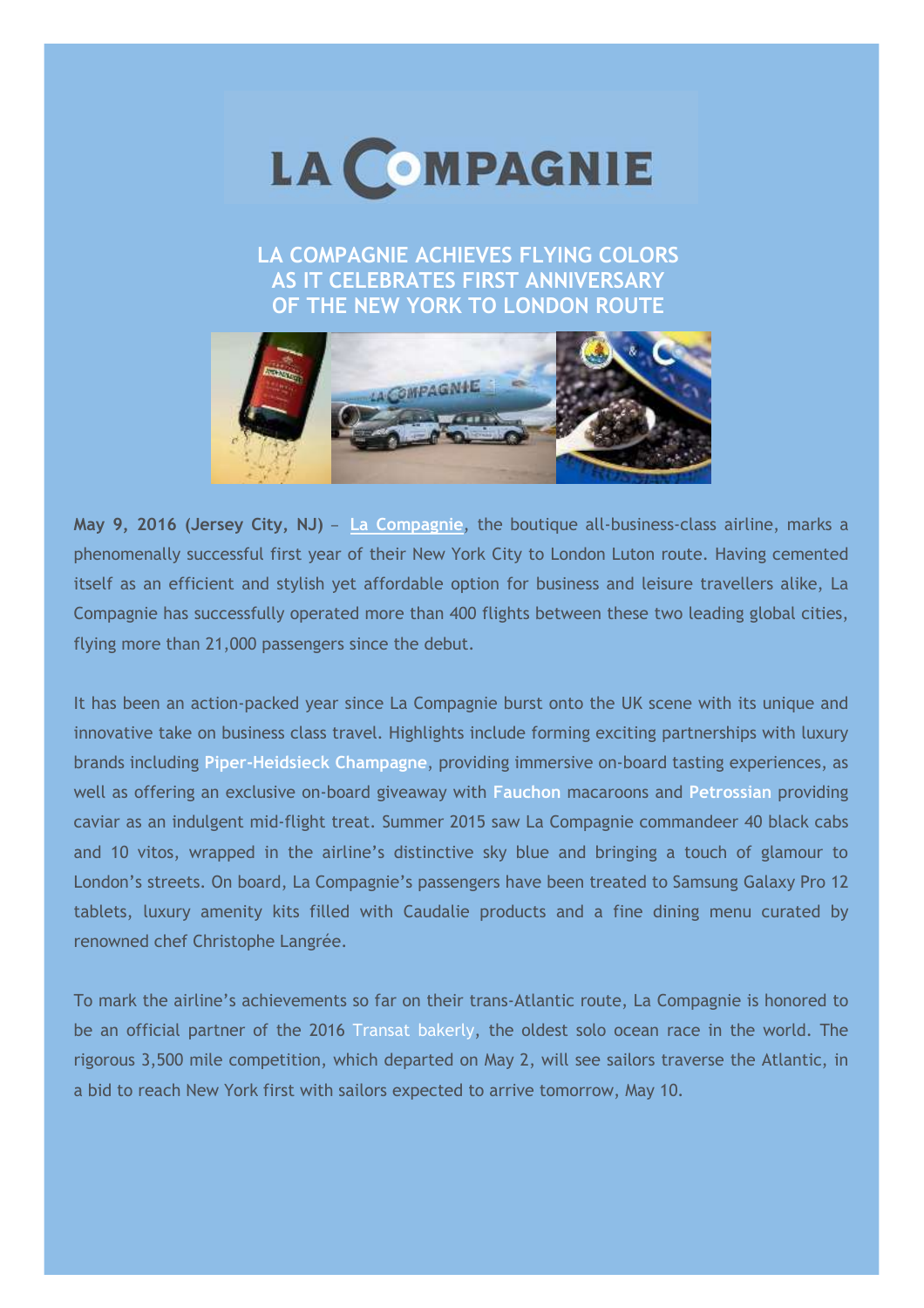

**LA COMPAGNIE ACHIEVES FLYING COLORS AS IT CELEBRATES FIRST ANNIVERSARY OF THE NEW YORK TO LONDON ROUTE**



**May 9, 2016 (Jersey City, NJ)** – **[La Compagnie](https://www.lacompagnie.com/en/the-company/our-offer)**, the boutique all-business-class airline, marks a 2 phenomenally successful first year of their New York City to London Luton route. Having cemented itself as an efficient and stylish yet affordable option for business and leisure travellers alike, La 1 Compagnie has successfully operated more than 400 flights between these two leading global cities, flying more than 21,000 passengers since the debut.  $\frac{4}{3}$ 

It has been an action-packed year since La Compagnie burst onto the UK scene with its unique and innovative take on business class travel. Highlights include forming exciting partnerships with luxury s brands including **Piper-Heidsieck Champagne**, providing immersive on-board tasting experiences, as y well as offering an exclusive on-board giveaway with **Fauchon** macaroons and **Petrossian** providing caviar as an indulgent mid-flight treat. Summer 2015 saw La Compagnie commandeer 40 black cabs C and 10 vitos, wrapped in the airline's distinctive sky blue and bringing a touch of glamour to t London's streets. On board, La Compagnie's passengers have been treated to Samsung Galaxy Pro 12 tablets, luxury amenity kits filled with Caudalie products and a fine dining menu curated by renowned chef Christophe Langrée. e

To mark the airline's achievements so far on their trans-Atlantic route, La Compagnie is honored to be an official partner of the 2016 [Transat bakerly,](http://www.thetransat.com/) the oldest solo ocean race in the world. The rigorous 3,500 mile competition, which departed on May 2, will see sailors traverse the Atlantic, in a bid to reach New York first with sailors expected to arrive tomorrow, May 10.